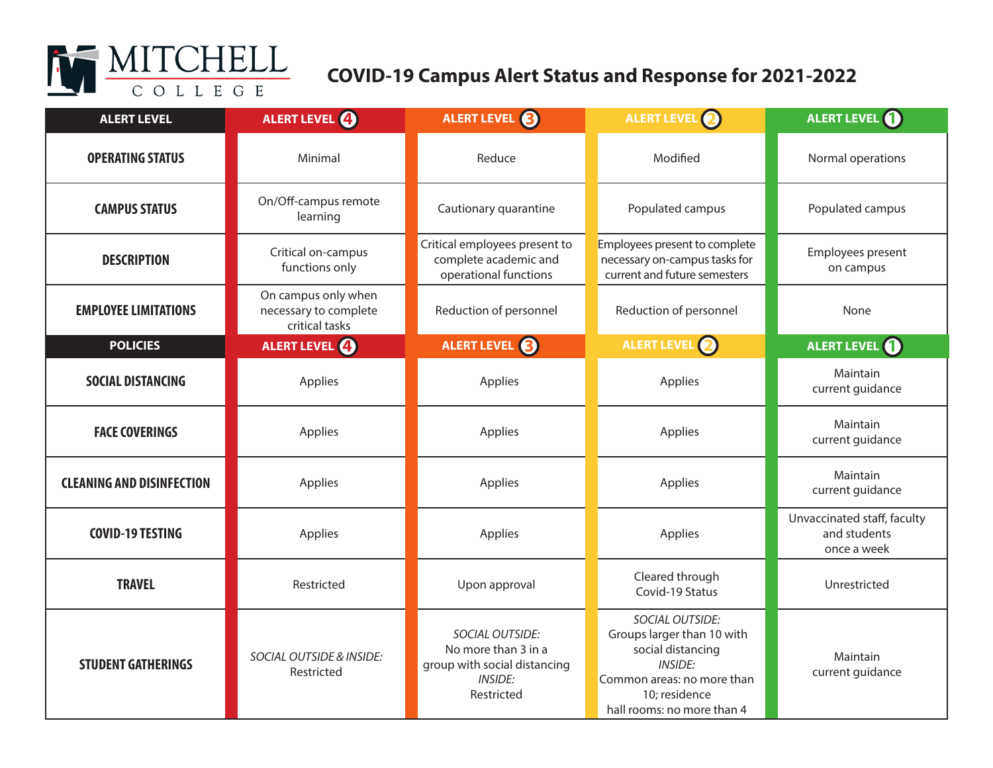

# **COVID-19 Campus Alert Status and Response for 2021-2022**

| <b>ALERT LEVEL</b>               | ALERT LEVEL <b>4</b>                                           | ALERT LEVEL <b>6</b>                                                                                          | ALERT LEVEL 2                                                                                                                                                            | ALERT LEVEL (                                              |
|----------------------------------|----------------------------------------------------------------|---------------------------------------------------------------------------------------------------------------|--------------------------------------------------------------------------------------------------------------------------------------------------------------------------|------------------------------------------------------------|
| <b>OPERATING STATUS</b>          | Minimal                                                        | Reduce                                                                                                        | Modified                                                                                                                                                                 | Normal operations                                          |
| <b>CAMPUS STATUS</b>             | On/Off-campus remote<br>learning                               | Cautionary quarantine                                                                                         | Populated campus                                                                                                                                                         | Populated campus                                           |
| <b>DESCRIPTION</b>               | Critical on-campus<br>functions only                           | Critical employees present to<br>complete academic and<br>operational functions                               | Employees present to complete<br>necessary on-campus tasks for<br>current and future semesters                                                                           | Employees present<br>on campus                             |
| <b>EMPLOYEE LIMITATIONS</b>      | On campus only when<br>necessary to complete<br>critical tasks | Reduction of personnel                                                                                        | Reduction of personnel                                                                                                                                                   | None                                                       |
| <b>POLICIES</b>                  | ALERT LEVEL 4                                                  | ALERT LEVEL <b>3</b>                                                                                          | ALERT LEVEL <sup>O</sup>                                                                                                                                                 | ALERT LEVEL <sup>1</sup>                                   |
| <b>SOCIAL DISTANCING</b>         | Applies                                                        | Applies                                                                                                       | Applies                                                                                                                                                                  | Maintain<br>current guidance                               |
| <b>FACE COVERINGS</b>            | Applies                                                        | Applies                                                                                                       | Applies                                                                                                                                                                  | Maintain<br>current guidance                               |
| <b>CLEANING AND DISINFECTION</b> | Applies                                                        | Applies                                                                                                       | Applies                                                                                                                                                                  | Maintain<br>current guidance                               |
| <b>COVID-19 TESTING</b>          | Applies                                                        | Applies                                                                                                       | Applies                                                                                                                                                                  | Unvaccinated staff, faculty<br>and students<br>once a week |
| <b>TRAVEL</b>                    | Restricted                                                     | Upon approval                                                                                                 | Cleared through<br>Covid-19 Status                                                                                                                                       | Unrestricted                                               |
| <b>STUDENT GATHERINGS</b>        | SOCIAL OUTSIDE & INSIDE:<br>Restricted                         | <b>SOCIAL OUTSIDE:</b><br>No more than 3 in a<br>group with social distancing<br><b>INSIDE:</b><br>Restricted | <b>SOCIAL OUTSIDE:</b><br>Groups larger than 10 with<br>social distancing<br><b>INSIDE:</b><br>Common areas: no more than<br>10; residence<br>hall rooms: no more than 4 | Maintain<br>current guidance                               |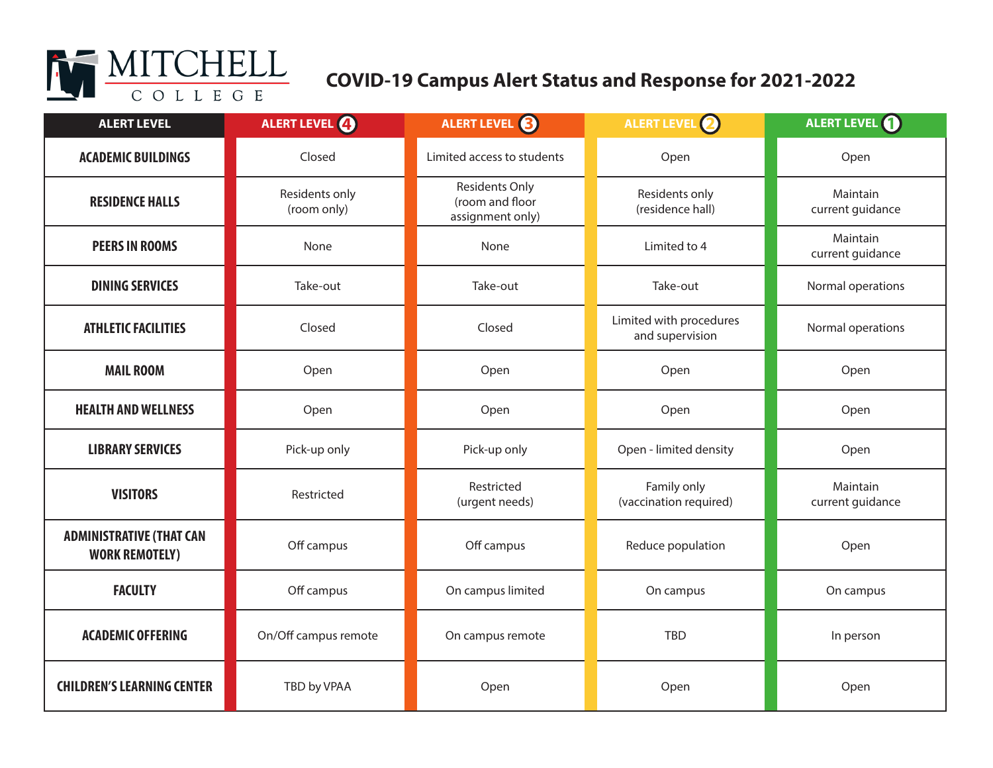

## **COVID-19 Campus Alert Status and Response for 2021-2022**

| <b>ALERT LEVEL</b>                                       | ALERT LEVEL <b>4</b>          | ALERT LEVEL <b>6</b>                                         | ALERT LEVEL 2                              | ALERT LEVEL (                |
|----------------------------------------------------------|-------------------------------|--------------------------------------------------------------|--------------------------------------------|------------------------------|
| <b>ACADEMIC BUILDINGS</b>                                | Closed                        | Limited access to students                                   | Open                                       | Open                         |
| <b>RESIDENCE HALLS</b>                                   | Residents only<br>(room only) | <b>Residents Only</b><br>(room and floor<br>assignment only) | Residents only<br>(residence hall)         | Maintain<br>current guidance |
| <b>PEERS IN ROOMS</b>                                    | None                          | None                                                         | Limited to 4                               | Maintain<br>current guidance |
| <b>DINING SERVICES</b>                                   | Take-out                      | Take-out                                                     | Take-out                                   | Normal operations            |
| <b>ATHLETIC FACILITIES</b>                               | Closed                        | Closed                                                       | Limited with procedures<br>and supervision | Normal operations            |
| <b>MAIL ROOM</b>                                         | Open                          | Open                                                         | Open                                       | Open                         |
| <b>HEALTH AND WELLNESS</b>                               | Open                          | Open                                                         | Open                                       | Open                         |
| <b>LIBRARY SERVICES</b>                                  | Pick-up only                  | Pick-up only                                                 | Open - limited density                     | Open                         |
| <b>VISITORS</b>                                          | Restricted                    | Restricted<br>(urgent needs)                                 | Family only<br>(vaccination required)      | Maintain<br>current guidance |
| <b>ADMINISTRATIVE (THAT CAN</b><br><b>WORK REMOTELY)</b> | Off campus                    | Off campus                                                   | Reduce population                          | Open                         |
| <b>FACULTY</b>                                           | Off campus                    | On campus limited                                            | On campus                                  | On campus                    |
| <b>ACADEMIC OFFERING</b>                                 | On/Off campus remote          | On campus remote                                             | <b>TBD</b>                                 | In person                    |
| <b>CHILDREN'S LEARNING CENTER</b>                        | TBD by VPAA                   | Open                                                         | Open                                       | Open                         |